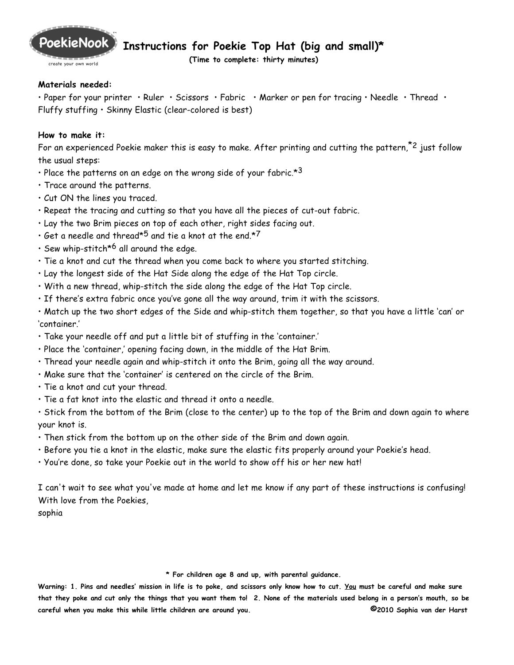

create your own world

**Instructions for Poekie Top Hat (big and small)\***

**(Time to complete: thirty minutes)**

## **Materials needed:**

• Paper for your printer • Ruler • Scissors • Fabric • Marker or pen for tracing • Needle • Thread • Fluffy stuffing • Skinny Elastic (clear-colored is best)

## **How to make it:**

For an experienced Poekie maker this is easy to make. After printing and cutting the pattern, $z^2$  just follow the usual steps:

- Place the patterns on an edge on the wrong side of your fabric.\*3
- Trace around the patterns.
- Cut ON the lines you traced.
- Repeat the tracing and cutting so that you have all the pieces of cut-out fabric.
- Lay the two Brim pieces on top of each other, right sides facing out.
- Get a needle and thread $*^5$  and tie a knot at the end. $*^7$
- Sew whip-stitch $*$ <sup>6</sup> all around the edge.
- Tie a knot and cut the thread when you come back to where you started stitching.
- Lay the longest side of the Hat Side along the edge of the Hat Top circle.
- With a new thread, whip-stitch the side along the edge of the Hat Top circle.
- If there's extra fabric once you've gone all the way around, trim it with the scissors.
- Match up the two short edges of the Side and whip-stitch them together, so that you have a little 'can' or 'container.'
- Take your needle off and put a little bit of stuffing in the 'container.'
- Place the 'container,' opening facing down, in the middle of the Hat Brim.
- Thread your needle again and whip-stitch it onto the Brim, going all the way around.
- Make sure that the 'container' is centered on the circle of the Brim.
- Tie a knot and cut your thread.
- Tie a fat knot into the elastic and thread it onto a needle.

• Stick from the bottom of the Brim (close to the center) up to the top of the Brim and down again to where your knot is.

- Then stick from the bottom up on the other side of the Brim and down again.
- Before you tie a knot in the elastic, make sure the elastic fits properly around your Poekie's head.
- You're done, so take your Poekie out in the world to show off his or her new hat!

I can't wait to see what you've made at home and let me know if any part of these instructions is confusing! With love from the Poekies,

sophia

## **\* For children age 8 and up, with parental guidance.**

**Warning: 1. Pins and needles' mission in life is to poke, and scissors only know how to cut. You must be careful and make sure that they poke and cut only the things that you want them to! 2. None of the materials used belong in a person's mouth, so be careful when you make this while little children are around you. ©2010 Sophia van der Harst**